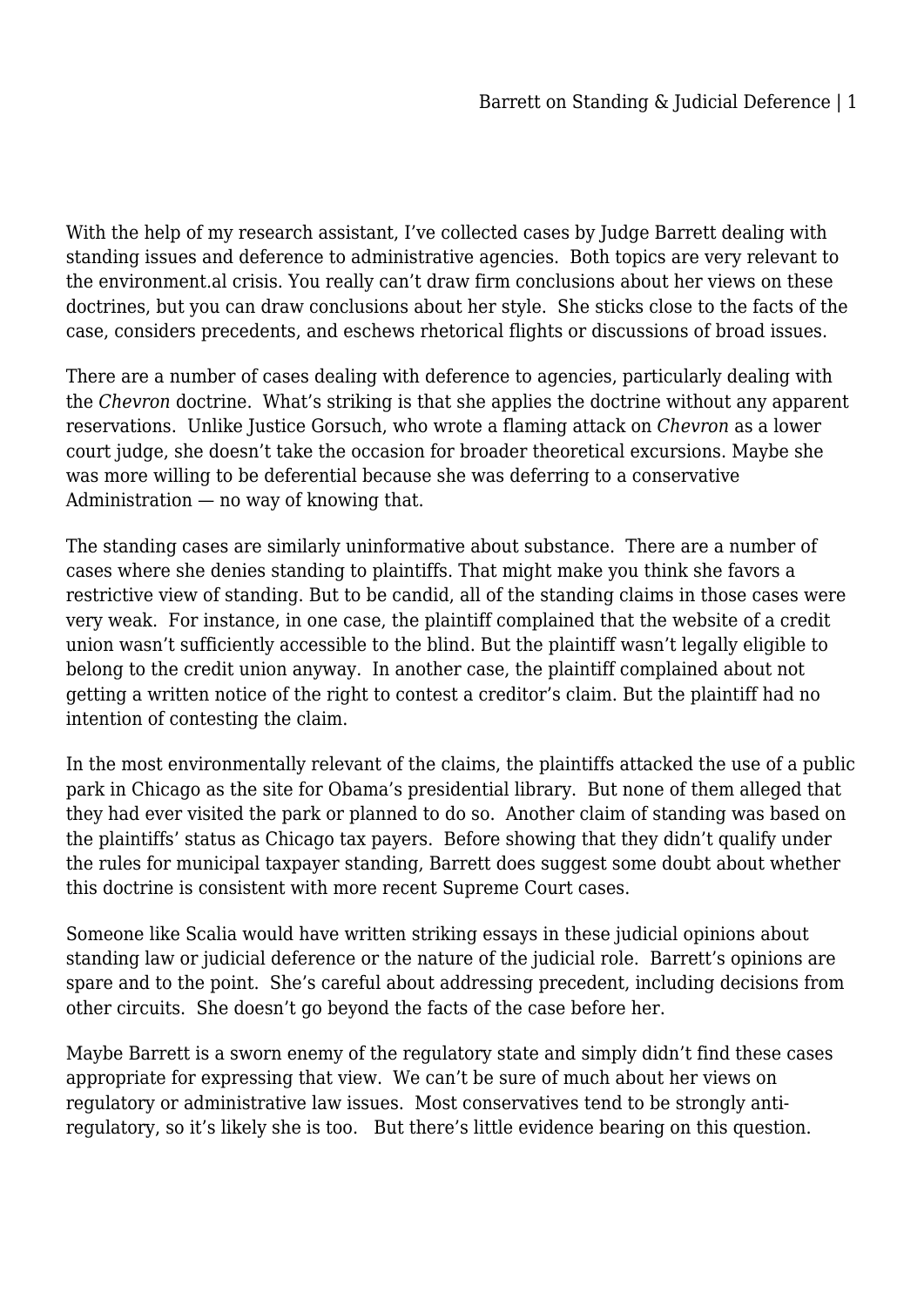With the help of my research assistant, I've collected cases by Judge Barrett dealing with standing issues and deference to administrative agencies. Both topics are very relevant to the environment.al crisis. You really can't draw firm conclusions about her views on these doctrines, but you can draw conclusions about her style. She sticks close to the facts of the case, considers precedents, and eschews rhetorical flights or discussions of broad issues.

There are a number of cases dealing with deference to agencies, particularly dealing with the *Chevron* doctrine. What's striking is that she applies the doctrine without any apparent reservations. Unlike Justice Gorsuch, who wrote a flaming attack on *Chevron* as a lower court judge, she doesn't take the occasion for broader theoretical excursions. Maybe she was more willing to be deferential because she was deferring to a conservative Administration — no way of knowing that.

The standing cases are similarly uninformative about substance. There are a number of cases where she denies standing to plaintiffs. That might make you think she favors a restrictive view of standing. But to be candid, all of the standing claims in those cases were very weak. For instance, in one case, the plaintiff complained that the website of a credit union wasn't sufficiently accessible to the blind. But the plaintiff wasn't legally eligible to belong to the credit union anyway. In another case, the plaintiff complained about not getting a written notice of the right to contest a creditor's claim. But the plaintiff had no intention of contesting the claim.

In the most environmentally relevant of the claims, the plaintiffs attacked the use of a public park in Chicago as the site for Obama's presidential library. But none of them alleged that they had ever visited the park or planned to do so. Another claim of standing was based on the plaintiffs' status as Chicago tax payers. Before showing that they didn't qualify under the rules for municipal taxpayer standing, Barrett does suggest some doubt about whether this doctrine is consistent with more recent Supreme Court cases.

Someone like Scalia would have written striking essays in these judicial opinions about standing law or judicial deference or the nature of the judicial role. Barrett's opinions are spare and to the point. She's careful about addressing precedent, including decisions from other circuits. She doesn't go beyond the facts of the case before her.

Maybe Barrett is a sworn enemy of the regulatory state and simply didn't find these cases appropriate for expressing that view. We can't be sure of much about her views on regulatory or administrative law issues. Most conservatives tend to be strongly antiregulatory, so it's likely she is too. But there's little evidence bearing on this question.